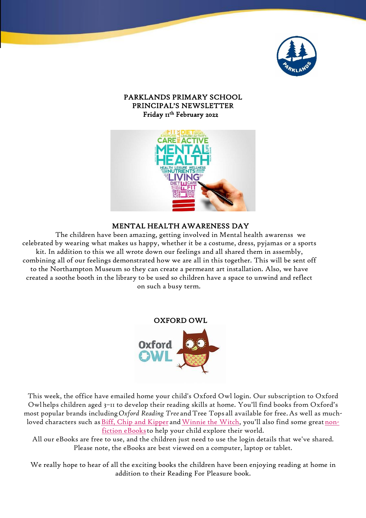

## PARKLANDS PRIMARY SCHOOL PRINCIPAL'S NEWSLETTER Friday 11th February 2022



### MENTAL HEALTH AWARENESS DAY

The children have been amazing, getting involved in Mental health awarenss we celebrated by wearing what makes us happy, whether it be a costume, dress, pyjamas or a sports kit. In addition to this we all wrote down our feelings and all shared them in assembly, combining all of our feelings demonstrated how we are all in this together. This will be sent off to the Northampton Museum so they can create a permeant art installation. Also, we have created a soothe booth in the library to be used so children have a space to unwind and reflect on such a busy term.

#### OXFORD OWL



This week, the office have emailed home your child's Oxford Owl login. Our subscription to Oxford Owlhelps children aged 3–11 to develop their reading skills at home. You'll find books from Oxford's most popular brands including*Oxford Reading Tree* andTree Tops all available for free.As well as much-loved characters such as Biff, Chip and [Kipper](https://www.oxfordowl.co.uk/home/reading-site/find-a-book/library-page?type=book&view=image&query=biff+chip) and Winnie the Witch, you'll also find some great nonfiction [eBookst](https://www.oxfordowl.co.uk/for-home/find-a-book/library-page/?view=image&query=&type=book&age_group=&level=&level_select=&book_type=Non-fiction&series=)o help your child explore their world.

All our eBooks are free to use, and the children just need to use the login details that we've shared. Please note, the eBooks are best viewed on a computer, laptop or tablet.

We really hope to hear of all the exciting books the children have been enjoying reading at home in addition to their Reading For Pleasure book.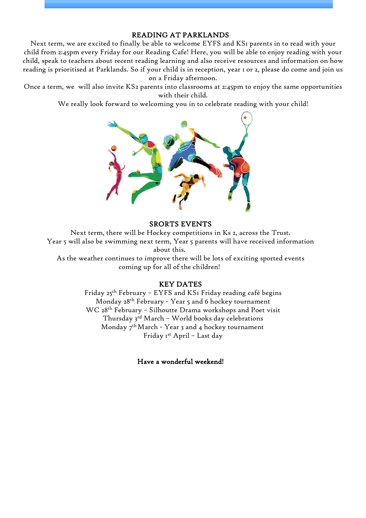#### READING AT PARKLANDS

Next term, we are excited to finally be able to welcome EYFS and KS1 parents in to read with your child from 2:45pm every Friday for our Reading Cafe! Here, you will be able to enjoy reading with your child, speak to teachers about recent reading learning and also receive resources and information on how reading is prioritised at Parklands. So if your child is in reception, year 1 or 2, please do come and join us on a Friday afternoon.

Once a term, we will also invite KS2 parents into classrooms at 2:45pm to enjoy the same opportunities with their child.

We really look forward to welcoming you in to celebrate reading with your child!



#### SRORTS EVENTS

Next term, there will be Hockey competitions in Ks 2, across the Trust. Year 5 will also be swimming next term, Year 5 parents will have received information about this.

As the weather continues to improve there will be lots of exciting sported events coming up for all of the children!

#### KEY DATES

Friday 25th February - EYFS and KS1 Friday reading café begins Monday 28th February - Year 5 and 6 hockey tournament WC 28th February – Silhoutte Drama workshops and Poet visit Thursday 3 rd March – World books day celebrations Monday 7 thMarch - Year 3 and 4 hockey tournament Friday 1st April – Last day

Have a wonderful weekend!